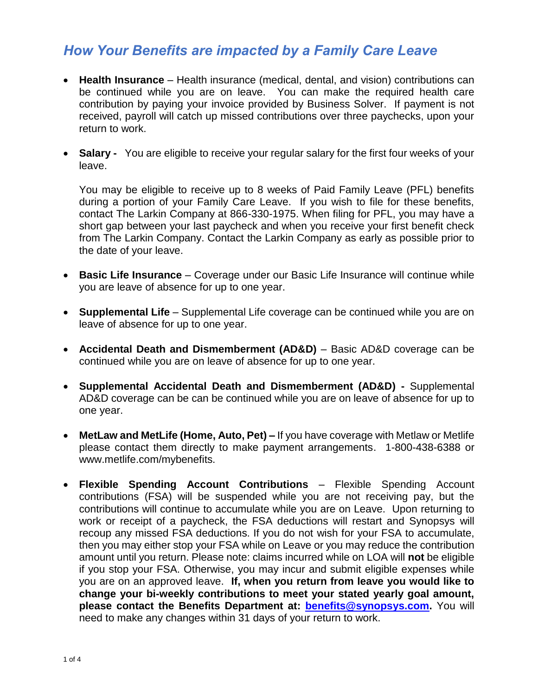## *How Your Benefits are impacted by a Family Care Leave*

- **Health Insurance** Health insurance (medical, dental, and vision) contributions can be continued while you are on leave. You can make the required health care contribution by paying your invoice provided by Business Solver. If payment is not received, payroll will catch up missed contributions over three paychecks, upon your return to work.
- **Salary -** You are eligible to receive your regular salary for the first four weeks of your leave.

You may be eligible to receive up to 8 weeks of Paid Family Leave (PFL) benefits during a portion of your Family Care Leave. If you wish to file for these benefits, contact The Larkin Company at 866-330-1975. When filing for PFL, you may have a short gap between your last paycheck and when you receive your first benefit check from The Larkin Company. Contact the Larkin Company as early as possible prior to the date of your leave.

- **Basic Life Insurance** Coverage under our Basic Life Insurance will continue while you are leave of absence for up to one year.
- **Supplemental Life** Supplemental Life coverage can be continued while you are on leave of absence for up to one year.
- **Accidental Death and Dismemberment (AD&D)** Basic AD&D coverage can be continued while you are on leave of absence for up to one year.
- **Supplemental Accidental Death and Dismemberment (AD&D) -** Supplemental AD&D coverage can be can be continued while you are on leave of absence for up to one year.
- **MetLaw and MetLife (Home, Auto, Pet) –** If you have coverage with Metlaw or Metlife please contact them directly to make payment arrangements. 1-800-438-6388 or www.metlife.com/mybenefits.
- **Flexible Spending Account Contributions** Flexible Spending Account contributions (FSA) will be suspended while you are not receiving pay, but the contributions will continue to accumulate while you are on Leave. Upon returning to work or receipt of a paycheck, the FSA deductions will restart and Synopsys will recoup any missed FSA deductions. If you do not wish for your FSA to accumulate, then you may either stop your FSA while on Leave or you may reduce the contribution amount until you return. Please note: claims incurred while on LOA will **not** be eligible if you stop your FSA. Otherwise, you may incur and submit eligible expenses while you are on an approved leave. **If, when you return from leave you would like to change your bi-weekly contributions to meet your stated yearly goal amount, please contact the Benefits Department at: [benefits@synopsys.com.](mailto:benefits@synopsys.com)** You will need to make any changes within 31 days of your return to work.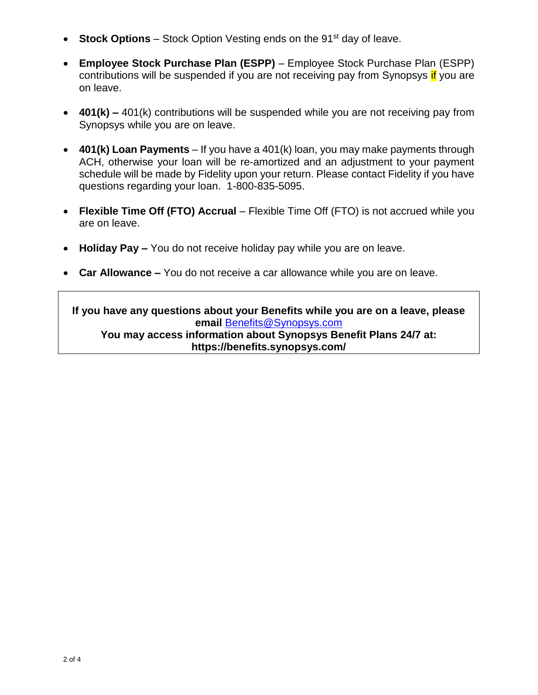- **Stock Options** Stock Option Vesting ends on the 91<sup>st</sup> day of leave.
- **Employee Stock Purchase Plan (ESPP)**  Employee Stock Purchase Plan (ESPP) contributions will be suspended if you are not receiving pay from Synopsys if you are on leave.
- **401(k) –** 401(k) contributions will be suspended while you are not receiving pay from Synopsys while you are on leave.
- **401(k) Loan Payments** If you have a 401(k) loan, you may make payments through ACH, otherwise your loan will be re-amortized and an adjustment to your payment schedule will be made by Fidelity upon your return. Please contact Fidelity if you have questions regarding your loan. 1-800-835-5095.
- **Flexible Time Off (FTO) Accrual** Flexible Time Off (FTO) is not accrued while you are on leave.
- **Holiday Pay –** You do not receive holiday pay while you are on leave.
- **Car Allowance –** You do not receive a car allowance while you are on leave.

**If you have any questions about your Benefits while you are on a leave, please email** [Benefits@Synopsys.com](mailto:Benefits@Synopsys.com) **You may access information about Synopsys Benefit Plans 24/7 at: https://benefits.synopsys.com/**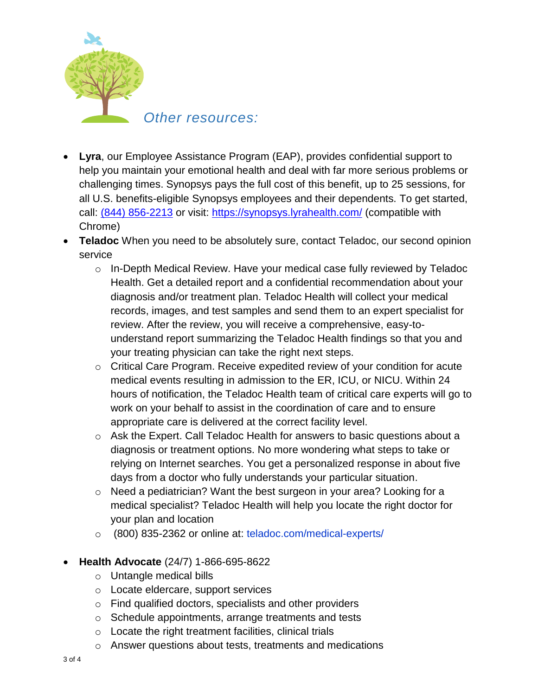

- **Lyra**, our Employee Assistance Program (EAP), provides confidential support to help you maintain your emotional health and deal with far more serious problems or challenging times. Synopsys pays the full cost of this benefit, up to 25 sessions, for all U.S. benefits-eligible Synopsys employees and their dependents. To get started, call: [\(844\) 856-2213](tel:%28844%29856-2213) or visit:<https://synopsys.lyrahealth.com/> (compatible with Chrome)
- **Teladoc** When you need to be absolutely sure, contact Teladoc, our second opinion service
	- o In-Depth Medical Review. Have your medical case fully reviewed by Teladoc Health. Get a detailed report and a confidential recommendation about your diagnosis and/or treatment plan. Teladoc Health will collect your medical records, images, and test samples and send them to an expert specialist for review. After the review, you will receive a comprehensive, easy-tounderstand report summarizing the Teladoc Health findings so that you and your treating physician can take the right next steps.
	- o Critical Care Program. Receive expedited review of your condition for acute medical events resulting in admission to the ER, ICU, or NICU. Within 24 hours of notification, the Teladoc Health team of critical care experts will go to work on your behalf to assist in the coordination of care and to ensure appropriate care is delivered at the correct facility level.
	- $\circ$  Ask the Expert. Call Teladoc Health for answers to basic questions about a diagnosis or treatment options. No more wondering what steps to take or relying on Internet searches. You get a personalized response in about five days from a doctor who fully understands your particular situation.
	- o Need a pediatrician? Want the best surgeon in your area? Looking for a medical specialist? Teladoc Health will help you locate the right doctor for your plan and location
	- o (800) 835-2362 or online at: teladoc.com/medical-experts/
- **Health Advocate** (24/7) 1-866-695-8622
	- o Untangle medical bills
	- o Locate eldercare, support services
	- o Find qualified doctors, specialists and other providers
	- o Schedule appointments, arrange treatments and tests
	- $\circ$  Locate the right treatment facilities, clinical trials
	- o Answer questions about tests, treatments and medications